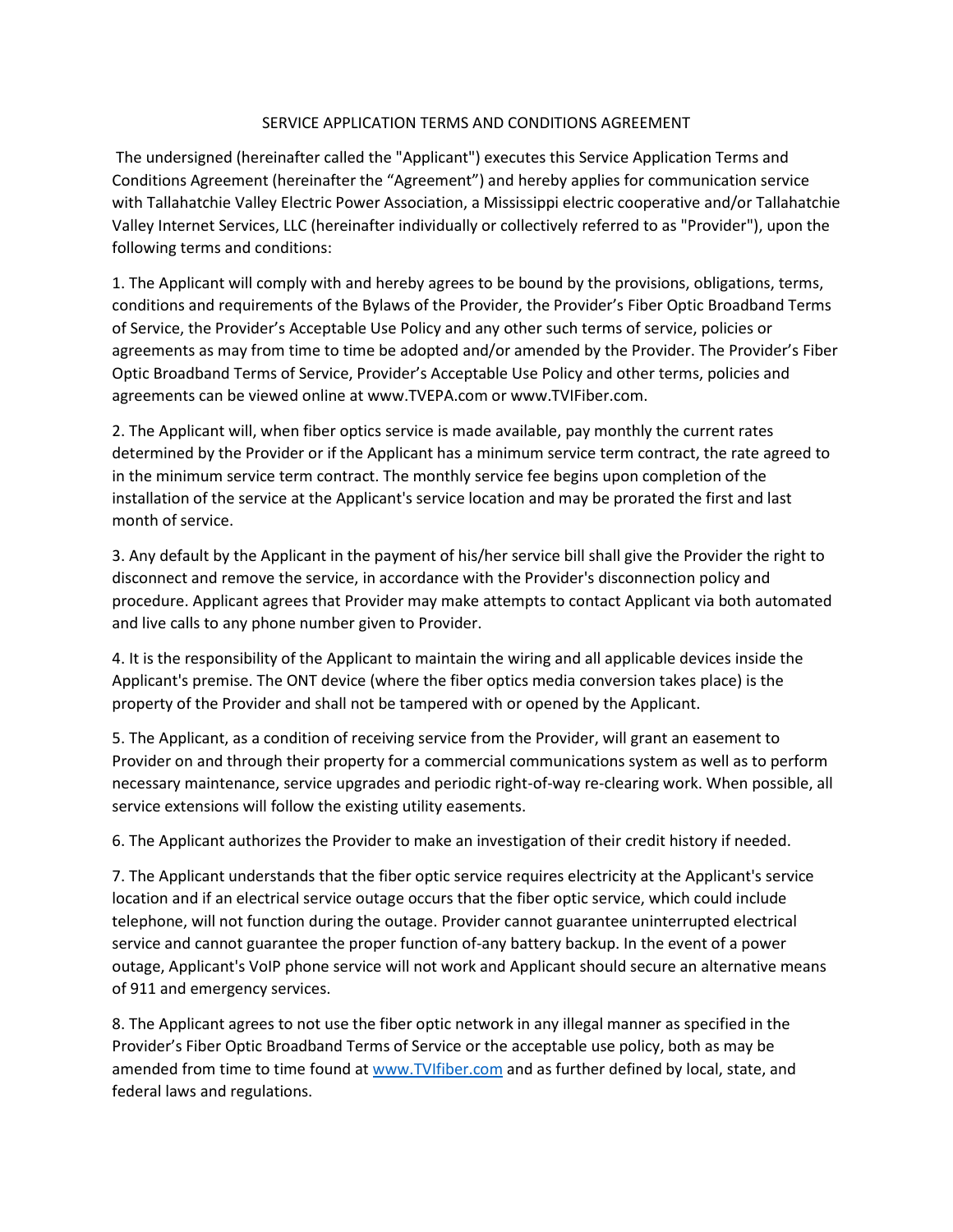## SERVICE APPLICATION TERMS AND CONDITIONS AGREEMENT

The undersigned (hereinafter called the "Applicant") executes this Service Application Terms and Conditions Agreement (hereinafter the "Agreement") and hereby applies for communication service with Tallahatchie Valley Electric Power Association, a Mississippi electric cooperative and/or Tallahatchie Valley Internet Services, LLC (hereinafter individually or collectively referred to as "Provider"), upon the following terms and conditions:

1. The Applicant will comply with and hereby agrees to be bound by the provisions, obligations, terms, conditions and requirements of the Bylaws of the Provider, the Provider's Fiber Optic Broadband Terms of Service, the Provider's Acceptable Use Policy and any other such terms of service, policies or agreements as may from time to time be adopted and/or amended by the Provider. The Provider's Fiber Optic Broadband Terms of Service, Provider's Acceptable Use Policy and other terms, policies and agreements can be viewed online at www.TVEPA.com or www.TVIFiber.com.

2. The Applicant will, when fiber optics service is made available, pay monthly the current rates determined by the Provider or if the Applicant has a minimum service term contract, the rate agreed to in the minimum service term contract. The monthly service fee begins upon completion of the installation of the service at the Applicant's service location and may be prorated the first and last month of service.

3. Any default by the Applicant in the payment of his/her service bill shall give the Provider the right to disconnect and remove the service, in accordance with the Provider's disconnection policy and procedure. Applicant agrees that Provider may make attempts to contact Applicant via both automated and live calls to any phone number given to Provider.

4. It is the responsibility of the Applicant to maintain the wiring and all applicable devices inside the Applicant's premise. The ONT device (where the fiber optics media conversion takes place) is the property of the Provider and shall not be tampered with or opened by the Applicant.

5. The Applicant, as a condition of receiving service from the Provider, will grant an easement to Provider on and through their property for a commercial communications system as well as to perform necessary maintenance, service upgrades and periodic right-of-way re-clearing work. When possible, all service extensions will follow the existing utility easements.

6. The Applicant authorizes the Provider to make an investigation of their credit history if needed.

7. The Applicant understands that the fiber optic service requires electricity at the Applicant's service location and if an electrical service outage occurs that the fiber optic service, which could include telephone, will not function during the outage. Provider cannot guarantee uninterrupted electrical service and cannot guarantee the proper function of-any battery backup. In the event of a power outage, Applicant's VoIP phone service will not work and Applicant should secure an alternative means of 911 and emergency services.

8. The Applicant agrees to not use the fiber optic network in any illegal manner as specified in the Provider's Fiber Optic Broadband Terms of Service or the acceptable use policy, both as may be amended from time to time found a[t www.TVIfiber.com](http://www.tvifiber.com/) and as further defined by local, state, and federal laws and regulations.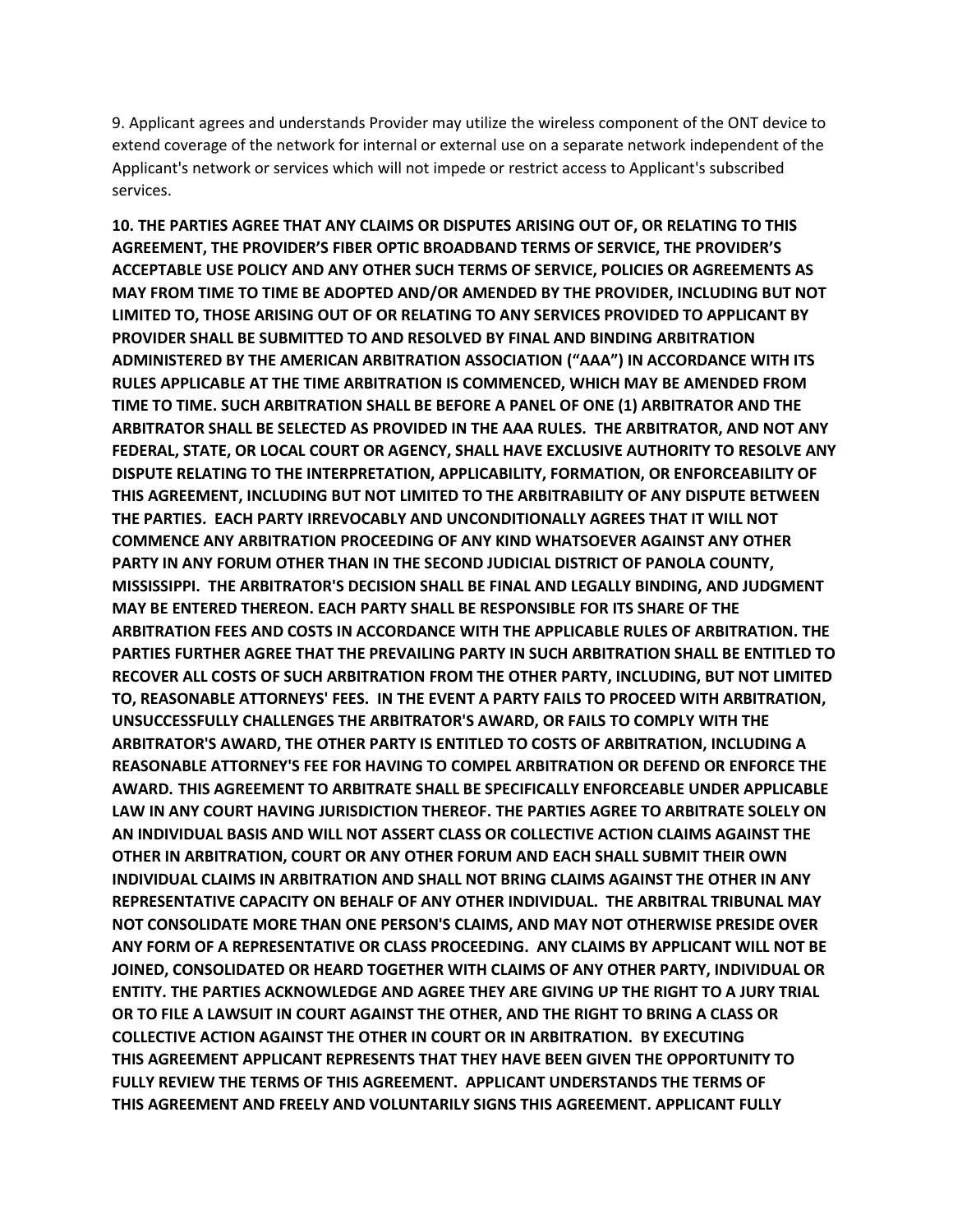9. Applicant agrees and understands Provider may utilize the wireless component of the ONT device to extend coverage of the network for internal or external use on a separate network independent of the Applicant's network or services which will not impede or restrict access to Applicant's subscribed services.

**10. THE PARTIES AGREE THAT ANY CLAIMS OR DISPUTES ARISING OUT OF, OR RELATING TO THIS AGREEMENT, THE PROVIDER'S FIBER OPTIC BROADBAND TERMS OF SERVICE, THE PROVIDER'S ACCEPTABLE USE POLICY AND ANY OTHER SUCH TERMS OF SERVICE, POLICIES OR AGREEMENTS AS MAY FROM TIME TO TIME BE ADOPTED AND/OR AMENDED BY THE PROVIDER, INCLUDING BUT NOT LIMITED TO, THOSE ARISING OUT OF OR RELATING TO ANY SERVICES PROVIDED TO APPLICANT BY PROVIDER SHALL BE SUBMITTED TO AND RESOLVED BY FINAL AND BINDING ARBITRATION ADMINISTERED BY THE AMERICAN ARBITRATION ASSOCIATION ("AAA") IN ACCORDANCE WITH ITS RULES APPLICABLE AT THE TIME ARBITRATION IS COMMENCED, WHICH MAY BE AMENDED FROM TIME TO TIME. SUCH ARBITRATION SHALL BE BEFORE A PANEL OF ONE (1) ARBITRATOR AND THE ARBITRATOR SHALL BE SELECTED AS PROVIDED IN THE AAA RULES. THE ARBITRATOR, AND NOT ANY FEDERAL, STATE, OR LOCAL COURT OR AGENCY, SHALL HAVE EXCLUSIVE AUTHORITY TO RESOLVE ANY DISPUTE RELATING TO THE INTERPRETATION, APPLICABILITY, FORMATION, OR ENFORCEABILITY OF THIS AGREEMENT, INCLUDING BUT NOT LIMITED TO THE ARBITRABILITY OF ANY DISPUTE BETWEEN THE PARTIES. EACH PARTY IRREVOCABLY AND UNCONDITIONALLY AGREES THAT IT WILL NOT COMMENCE ANY ARBITRATION PROCEEDING OF ANY KIND WHATSOEVER AGAINST ANY OTHER PARTY IN ANY FORUM OTHER THAN IN THE SECOND JUDICIAL DISTRICT OF PANOLA COUNTY, MISSISSIPPI. THE ARBITRATOR'S DECISION SHALL BE FINAL AND LEGALLY BINDING, AND JUDGMENT MAY BE ENTERED THEREON. EACH PARTY SHALL BE RESPONSIBLE FOR ITS SHARE OF THE ARBITRATION FEES AND COSTS IN ACCORDANCE WITH THE APPLICABLE RULES OF ARBITRATION. THE PARTIES FURTHER AGREE THAT THE PREVAILING PARTY IN SUCH ARBITRATION SHALL BE ENTITLED TO RECOVER ALL COSTS OF SUCH ARBITRATION FROM THE OTHER PARTY, INCLUDING, BUT NOT LIMITED TO, REASONABLE ATTORNEYS' FEES. IN THE EVENT A PARTY FAILS TO PROCEED WITH ARBITRATION, UNSUCCESSFULLY CHALLENGES THE ARBITRATOR'S AWARD, OR FAILS TO COMPLY WITH THE ARBITRATOR'S AWARD, THE OTHER PARTY IS ENTITLED TO COSTS OF ARBITRATION, INCLUDING A REASONABLE ATTORNEY'S FEE FOR HAVING TO COMPEL ARBITRATION OR DEFEND OR ENFORCE THE AWARD. THIS AGREEMENT TO ARBITRATE SHALL BE SPECIFICALLY ENFORCEABLE UNDER APPLICABLE LAW IN ANY COURT HAVING JURISDICTION THEREOF. THE PARTIES AGREE TO ARBITRATE SOLELY ON AN INDIVIDUAL BASIS AND WILL NOT ASSERT CLASS OR COLLECTIVE ACTION CLAIMS AGAINST THE OTHER IN ARBITRATION, COURT OR ANY OTHER FORUM AND EACH SHALL SUBMIT THEIR OWN INDIVIDUAL CLAIMS IN ARBITRATION AND SHALL NOT BRING CLAIMS AGAINST THE OTHER IN ANY REPRESENTATIVE CAPACITY ON BEHALF OF ANY OTHER INDIVIDUAL. THE ARBITRAL TRIBUNAL MAY NOT CONSOLIDATE MORE THAN ONE PERSON'S CLAIMS, AND MAY NOT OTHERWISE PRESIDE OVER ANY FORM OF A REPRESENTATIVE OR CLASS PROCEEDING. ANY CLAIMS BY APPLICANT WILL NOT BE JOINED, CONSOLIDATED OR HEARD TOGETHER WITH CLAIMS OF ANY OTHER PARTY, INDIVIDUAL OR ENTITY. THE PARTIES ACKNOWLEDGE AND AGREE THEY ARE GIVING UP THE RIGHT TO A JURY TRIAL OR TO FILE A LAWSUIT IN COURT AGAINST THE OTHER, AND THE RIGHT TO BRING A CLASS OR COLLECTIVE ACTION AGAINST THE OTHER IN COURT OR IN ARBITRATION. BY EXECUTING THIS AGREEMENT APPLICANT REPRESENTS THAT THEY HAVE BEEN GIVEN THE OPPORTUNITY TO FULLY REVIEW THE TERMS OF THIS AGREEMENT. APPLICANT UNDERSTANDS THE TERMS OF THIS AGREEMENT AND FREELY AND VOLUNTARILY SIGNS THIS AGREEMENT. APPLICANT FULLY**